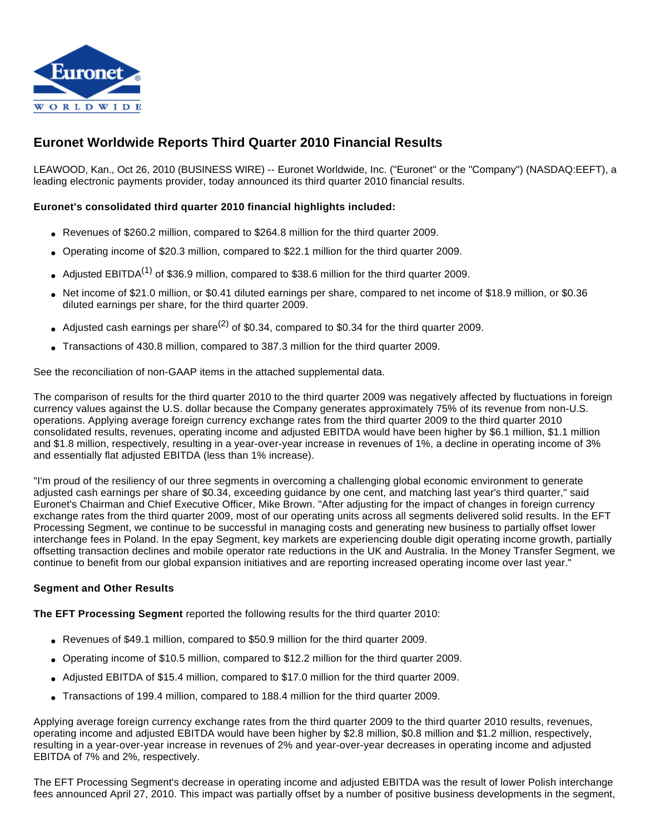

# **Euronet Worldwide Reports Third Quarter 2010 Financial Results**

LEAWOOD, Kan., Oct 26, 2010 (BUSINESS WIRE) -- Euronet Worldwide, Inc. ("Euronet" or the "Company") (NASDAQ:EEFT), a leading electronic payments provider, today announced its third quarter 2010 financial results.

# **Euronet's consolidated third quarter 2010 financial highlights included:**

- Revenues of \$260.2 million, compared to \$264.8 million for the third quarter 2009.
- Operating income of \$20.3 million, compared to \$22.1 million for the third quarter 2009.
- Adjusted EBITDA<sup>(1)</sup> of \$36.9 million, compared to \$38.6 million for the third quarter 2009.
- Net income of \$21.0 million, or \$0.41 diluted earnings per share, compared to net income of \$18.9 million, or \$0.36 diluted earnings per share, for the third quarter 2009.
- Adjusted cash earnings per share<sup>(2)</sup> of \$0.34, compared to \$0.34 for the third quarter 2009.
- Transactions of 430.8 million, compared to 387.3 million for the third quarter 2009.

See the reconciliation of non-GAAP items in the attached supplemental data.

The comparison of results for the third quarter 2010 to the third quarter 2009 was negatively affected by fluctuations in foreign currency values against the U.S. dollar because the Company generates approximately 75% of its revenue from non-U.S. operations. Applying average foreign currency exchange rates from the third quarter 2009 to the third quarter 2010 consolidated results, revenues, operating income and adjusted EBITDA would have been higher by \$6.1 million, \$1.1 million and \$1.8 million, respectively, resulting in a year-over-year increase in revenues of 1%, a decline in operating income of 3% and essentially flat adjusted EBITDA (less than 1% increase).

"I'm proud of the resiliency of our three segments in overcoming a challenging global economic environment to generate adjusted cash earnings per share of \$0.34, exceeding guidance by one cent, and matching last year's third quarter," said Euronet's Chairman and Chief Executive Officer, Mike Brown. "After adjusting for the impact of changes in foreign currency exchange rates from the third quarter 2009, most of our operating units across all segments delivered solid results. In the EFT Processing Segment, we continue to be successful in managing costs and generating new business to partially offset lower interchange fees in Poland. In the epay Segment, key markets are experiencing double digit operating income growth, partially offsetting transaction declines and mobile operator rate reductions in the UK and Australia. In the Money Transfer Segment, we continue to benefit from our global expansion initiatives and are reporting increased operating income over last year."

## **Segment and Other Results**

**The EFT Processing Segment** reported the following results for the third quarter 2010:

- Revenues of \$49.1 million, compared to \$50.9 million for the third quarter 2009.
- Operating income of \$10.5 million, compared to \$12.2 million for the third quarter 2009.
- Adjusted EBITDA of \$15.4 million, compared to \$17.0 million for the third quarter 2009.
- Transactions of 199.4 million, compared to 188.4 million for the third quarter 2009.

Applying average foreign currency exchange rates from the third quarter 2009 to the third quarter 2010 results, revenues, operating income and adjusted EBITDA would have been higher by \$2.8 million, \$0.8 million and \$1.2 million, respectively, resulting in a year-over-year increase in revenues of 2% and year-over-year decreases in operating income and adjusted EBITDA of 7% and 2%, respectively.

The EFT Processing Segment's decrease in operating income and adjusted EBITDA was the result of lower Polish interchange fees announced April 27, 2010. This impact was partially offset by a number of positive business developments in the segment,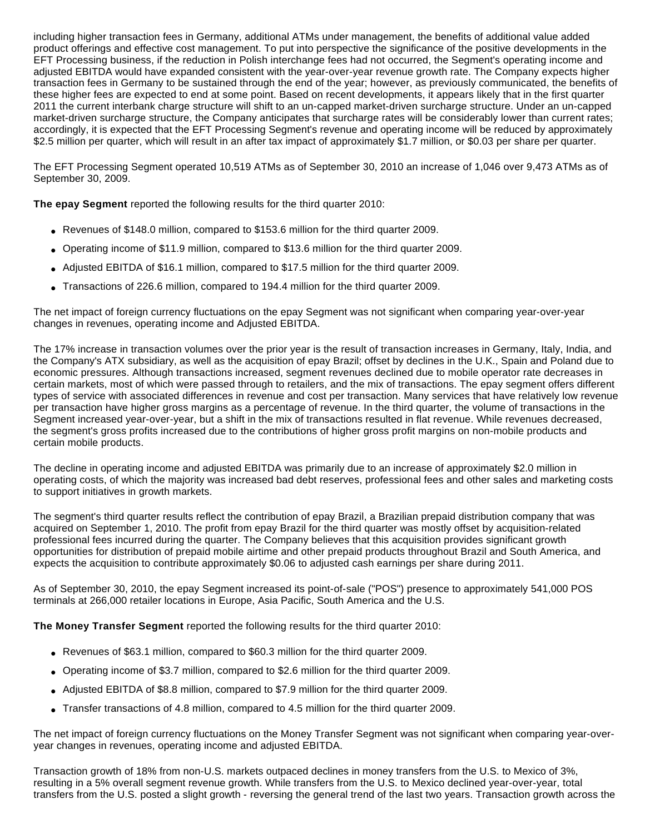including higher transaction fees in Germany, additional ATMs under management, the benefits of additional value added product offerings and effective cost management. To put into perspective the significance of the positive developments in the EFT Processing business, if the reduction in Polish interchange fees had not occurred, the Segment's operating income and adjusted EBITDA would have expanded consistent with the year-over-year revenue growth rate. The Company expects higher transaction fees in Germany to be sustained through the end of the year; however, as previously communicated, the benefits of these higher fees are expected to end at some point. Based on recent developments, it appears likely that in the first quarter 2011 the current interbank charge structure will shift to an un-capped market-driven surcharge structure. Under an un-capped market-driven surcharge structure, the Company anticipates that surcharge rates will be considerably lower than current rates; accordingly, it is expected that the EFT Processing Segment's revenue and operating income will be reduced by approximately \$2.5 million per quarter, which will result in an after tax impact of approximately \$1.7 million, or \$0.03 per share per quarter.

The EFT Processing Segment operated 10,519 ATMs as of September 30, 2010 an increase of 1,046 over 9,473 ATMs as of September 30, 2009.

**The epay Segment** reported the following results for the third quarter 2010:

- Revenues of \$148.0 million, compared to \$153.6 million for the third quarter 2009.
- Operating income of \$11.9 million, compared to \$13.6 million for the third quarter 2009.
- Adjusted EBITDA of \$16.1 million, compared to \$17.5 million for the third quarter 2009.
- Transactions of 226.6 million, compared to 194.4 million for the third quarter 2009.

The net impact of foreign currency fluctuations on the epay Segment was not significant when comparing year-over-year changes in revenues, operating income and Adjusted EBITDA.

The 17% increase in transaction volumes over the prior year is the result of transaction increases in Germany, Italy, India, and the Company's ATX subsidiary, as well as the acquisition of epay Brazil; offset by declines in the U.K., Spain and Poland due to economic pressures. Although transactions increased, segment revenues declined due to mobile operator rate decreases in certain markets, most of which were passed through to retailers, and the mix of transactions. The epay segment offers different types of service with associated differences in revenue and cost per transaction. Many services that have relatively low revenue per transaction have higher gross margins as a percentage of revenue. In the third quarter, the volume of transactions in the Segment increased year-over-year, but a shift in the mix of transactions resulted in flat revenue. While revenues decreased, the segment's gross profits increased due to the contributions of higher gross profit margins on non-mobile products and certain mobile products.

The decline in operating income and adjusted EBITDA was primarily due to an increase of approximately \$2.0 million in operating costs, of which the majority was increased bad debt reserves, professional fees and other sales and marketing costs to support initiatives in growth markets.

The segment's third quarter results reflect the contribution of epay Brazil, a Brazilian prepaid distribution company that was acquired on September 1, 2010. The profit from epay Brazil for the third quarter was mostly offset by acquisition-related professional fees incurred during the quarter. The Company believes that this acquisition provides significant growth opportunities for distribution of prepaid mobile airtime and other prepaid products throughout Brazil and South America, and expects the acquisition to contribute approximately \$0.06 to adjusted cash earnings per share during 2011.

As of September 30, 2010, the epay Segment increased its point-of-sale ("POS") presence to approximately 541,000 POS terminals at 266,000 retailer locations in Europe, Asia Pacific, South America and the U.S.

**The Money Transfer Segment** reported the following results for the third quarter 2010:

- Revenues of \$63.1 million, compared to \$60.3 million for the third quarter 2009.
- Operating income of \$3.7 million, compared to \$2.6 million for the third quarter 2009.
- Adjusted EBITDA of \$8.8 million, compared to \$7.9 million for the third quarter 2009.
- Transfer transactions of 4.8 million, compared to 4.5 million for the third quarter 2009.

The net impact of foreign currency fluctuations on the Money Transfer Segment was not significant when comparing year-overyear changes in revenues, operating income and adjusted EBITDA.

Transaction growth of 18% from non-U.S. markets outpaced declines in money transfers from the U.S. to Mexico of 3%, resulting in a 5% overall segment revenue growth. While transfers from the U.S. to Mexico declined year-over-year, total transfers from the U.S. posted a slight growth - reversing the general trend of the last two years. Transaction growth across the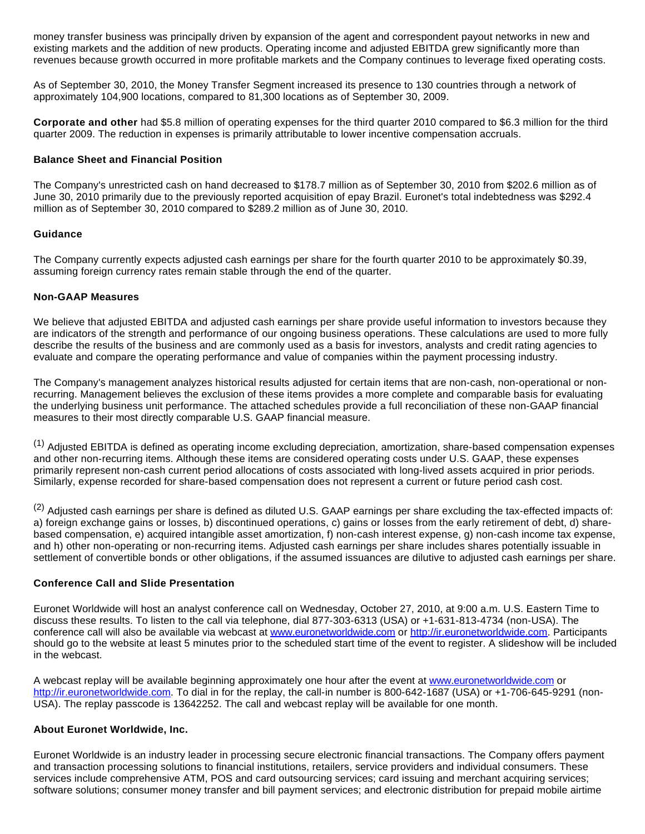money transfer business was principally driven by expansion of the agent and correspondent payout networks in new and existing markets and the addition of new products. Operating income and adjusted EBITDA grew significantly more than revenues because growth occurred in more profitable markets and the Company continues to leverage fixed operating costs.

As of September 30, 2010, the Money Transfer Segment increased its presence to 130 countries through a network of approximately 104,900 locations, compared to 81,300 locations as of September 30, 2009.

**Corporate and other** had \$5.8 million of operating expenses for the third quarter 2010 compared to \$6.3 million for the third quarter 2009. The reduction in expenses is primarily attributable to lower incentive compensation accruals.

#### **Balance Sheet and Financial Position**

The Company's unrestricted cash on hand decreased to \$178.7 million as of September 30, 2010 from \$202.6 million as of June 30, 2010 primarily due to the previously reported acquisition of epay Brazil. Euronet's total indebtedness was \$292.4 million as of September 30, 2010 compared to \$289.2 million as of June 30, 2010.

#### **Guidance**

The Company currently expects adjusted cash earnings per share for the fourth quarter 2010 to be approximately \$0.39, assuming foreign currency rates remain stable through the end of the quarter.

#### **Non-GAAP Measures**

We believe that adjusted EBITDA and adjusted cash earnings per share provide useful information to investors because they are indicators of the strength and performance of our ongoing business operations. These calculations are used to more fully describe the results of the business and are commonly used as a basis for investors, analysts and credit rating agencies to evaluate and compare the operating performance and value of companies within the payment processing industry.

The Company's management analyzes historical results adjusted for certain items that are non-cash, non-operational or nonrecurring. Management believes the exclusion of these items provides a more complete and comparable basis for evaluating the underlying business unit performance. The attached schedules provide a full reconciliation of these non-GAAP financial measures to their most directly comparable U.S. GAAP financial measure.

(1) Adjusted EBITDA is defined as operating income excluding depreciation, amortization, share-based compensation expenses and other non-recurring items. Although these items are considered operating costs under U.S. GAAP, these expenses primarily represent non-cash current period allocations of costs associated with long-lived assets acquired in prior periods. Similarly, expense recorded for share-based compensation does not represent a current or future period cash cost.

(2) Adjusted cash earnings per share is defined as diluted U.S. GAAP earnings per share excluding the tax-effected impacts of: a) foreign exchange gains or losses, b) discontinued operations, c) gains or losses from the early retirement of debt, d) sharebased compensation, e) acquired intangible asset amortization, f) non-cash interest expense, g) non-cash income tax expense, and h) other non-operating or non-recurring items. Adjusted cash earnings per share includes shares potentially issuable in settlement of convertible bonds or other obligations, if the assumed issuances are dilutive to adjusted cash earnings per share.

#### **Conference Call and Slide Presentation**

Euronet Worldwide will host an analyst conference call on Wednesday, October 27, 2010, at 9:00 a.m. U.S. Eastern Time to discuss these results. To listen to the call via telephone, dial 877-303-6313 (USA) or +1-631-813-4734 (non-USA). The conference call will also be available via webcast at [www.euronetworldwide.com](http://cts.businesswire.com/ct/CT?id=smartlink&url=http%3A%2F%2Fwww.euronetworldwide.com&esheet=6484994&lan=en-US&anchor=www.euronetworldwide.com&index=1&md5=166268a5c2339c05fa5d10c6dd05e2a7) or [http://ir.euronetworldwide.com.](http://cts.businesswire.com/ct/CT?id=smartlink&url=http%3A%2F%2Fir.euronetworldwide.com&esheet=6484994&lan=en-US&anchor=http%3A%2F%2Fir.euronetworldwide.com&index=2&md5=61a984c8498ffee0301eb0595b896de8) Participants should go to the website at least 5 minutes prior to the scheduled start time of the event to register. A slideshow will be included in the webcast.

A webcast replay will be available beginning approximately one hour after the event at [www.euronetworldwide.com](http://cts.businesswire.com/ct/CT?id=smartlink&url=http%3A%2F%2Fwww.euronetworldwide.com&esheet=6484994&lan=en-US&anchor=www.euronetworldwide.com&index=3&md5=20a4b93ac41f4256885d2712a2e8b6b7) or [http://ir.euronetworldwide.com](http://cts.businesswire.com/ct/CT?id=smartlink&url=http%3A%2F%2Fir.euronetworldwide.com&esheet=6484994&lan=en-US&anchor=http%3A%2F%2Fir.euronetworldwide.com&index=4&md5=86a4764f36d8a557632dfdd443c560f4). To dial in for the replay, the call-in number is 800-642-1687 (USA) or +1-706-645-9291 (non-USA). The replay passcode is 13642252. The call and webcast replay will be available for one month.

## **About Euronet Worldwide, Inc.**

Euronet Worldwide is an industry leader in processing secure electronic financial transactions. The Company offers payment and transaction processing solutions to financial institutions, retailers, service providers and individual consumers. These services include comprehensive ATM, POS and card outsourcing services; card issuing and merchant acquiring services; software solutions; consumer money transfer and bill payment services; and electronic distribution for prepaid mobile airtime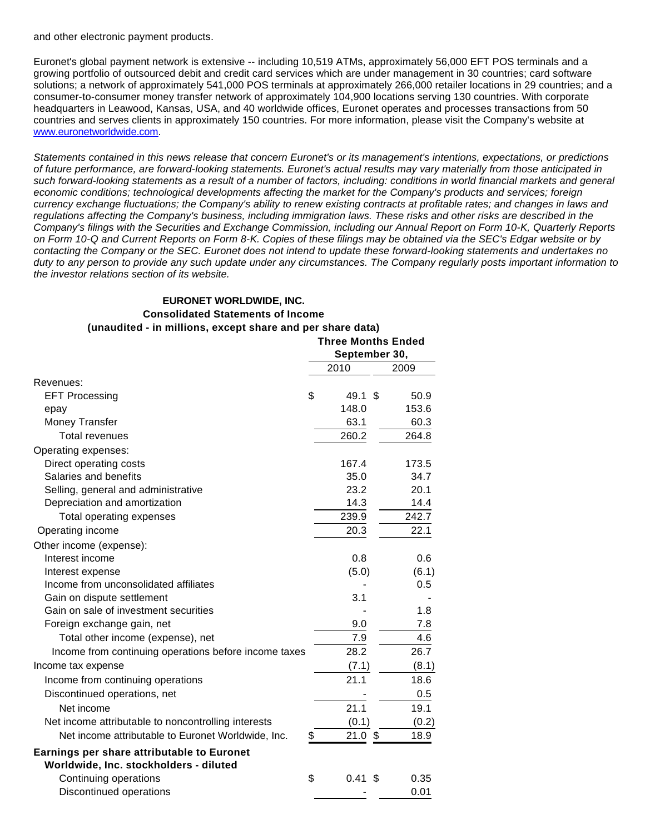and other electronic payment products.

Euronet's global payment network is extensive -- including 10,519 ATMs, approximately 56,000 EFT POS terminals and a growing portfolio of outsourced debit and credit card services which are under management in 30 countries; card software solutions; a network of approximately 541,000 POS terminals at approximately 266,000 retailer locations in 29 countries; and a consumer-to-consumer money transfer network of approximately 104,900 locations serving 130 countries. With corporate headquarters in Leawood, Kansas, USA, and 40 worldwide offices, Euronet operates and processes transactions from 50 countries and serves clients in approximately 150 countries. For more information, please visit the Company's website at [www.euronetworldwide.com](http://cts.businesswire.com/ct/CT?id=smartlink&url=http%3A%2F%2Fwww.euronetworldwide.com%2F&esheet=6484994&lan=en-US&anchor=www.euronetworldwide.com&index=5&md5=f043e188c367767596665994ed0389db).

Statements contained in this news release that concern Euronet's or its management's intentions, expectations, or predictions of future performance, are forward-looking statements. Euronet's actual results may vary materially from those anticipated in such forward-looking statements as a result of a number of factors, including: conditions in world financial markets and general economic conditions; technological developments affecting the market for the Company's products and services; foreign currency exchange fluctuations; the Company's ability to renew existing contracts at profitable rates; and changes in laws and regulations affecting the Company's business, including immigration laws. These risks and other risks are described in the Company's filings with the Securities and Exchange Commission, including our Annual Report on Form 10-K, Quarterly Reports on Form 10-Q and Current Reports on Form 8-K. Copies of these filings may be obtained via the SEC's Edgar website or by contacting the Company or the SEC. Euronet does not intend to update these forward-looking statements and undertakes no duty to any person to provide any such update under any circumstances. The Company regularly posts important information to the investor relations section of its website.

**Three Months Ended**

## **EURONET WORLDWIDE, INC. Consolidated Statements of Income (unaudited - in millions, except share and per share data)**

|                                                                                             | inree wontns Ended<br>September 30, |                       |  |  |  |  |
|---------------------------------------------------------------------------------------------|-------------------------------------|-----------------------|--|--|--|--|
|                                                                                             | 2010                                | 2009                  |  |  |  |  |
| Revenues:                                                                                   |                                     |                       |  |  |  |  |
| \$<br><b>EFT Processing</b>                                                                 | 49.1                                | \$.<br>50.9           |  |  |  |  |
| epay                                                                                        | 148.0                               | 153.6                 |  |  |  |  |
| Money Transfer                                                                              | 63.1                                | 60.3                  |  |  |  |  |
| <b>Total revenues</b>                                                                       | 260.2                               | 264.8                 |  |  |  |  |
| Operating expenses:                                                                         |                                     |                       |  |  |  |  |
| Direct operating costs                                                                      | 167.4                               | 173.5                 |  |  |  |  |
| Salaries and benefits                                                                       | 35.0                                | 34.7                  |  |  |  |  |
| Selling, general and administrative                                                         | 23.2                                | 20.1                  |  |  |  |  |
| Depreciation and amortization                                                               | 14.3                                | 14.4                  |  |  |  |  |
| Total operating expenses                                                                    | 239.9                               | 242.7                 |  |  |  |  |
| Operating income                                                                            | 20.3                                | 22.1                  |  |  |  |  |
| Other income (expense):                                                                     |                                     |                       |  |  |  |  |
| Interest income                                                                             | 0.8                                 | 0.6                   |  |  |  |  |
| Interest expense                                                                            | (5.0)                               | (6.1)                 |  |  |  |  |
| Income from unconsolidated affiliates                                                       |                                     | 0.5                   |  |  |  |  |
| Gain on dispute settlement                                                                  | 3.1                                 |                       |  |  |  |  |
| Gain on sale of investment securities                                                       |                                     | 1.8                   |  |  |  |  |
| Foreign exchange gain, net                                                                  | 9.0                                 | 7.8                   |  |  |  |  |
| Total other income (expense), net                                                           | 7.9                                 | 4.6                   |  |  |  |  |
| Income from continuing operations before income taxes                                       | 28.2                                | 26.7                  |  |  |  |  |
| Income tax expense                                                                          | (7.1)                               | (8.1)                 |  |  |  |  |
| Income from continuing operations                                                           | 21.1                                | 18.6                  |  |  |  |  |
| Discontinued operations, net                                                                |                                     | 0.5                   |  |  |  |  |
| Net income                                                                                  | 21.1                                | 19.1                  |  |  |  |  |
| Net income attributable to noncontrolling interests                                         | (0.1)                               | (0.2)                 |  |  |  |  |
| Net income attributable to Euronet Worldwide, Inc.<br>\$                                    | 21.0                                | $\sqrt[6]{3}$<br>18.9 |  |  |  |  |
| <b>Earnings per share attributable to Euronet</b><br>Worldwide, Inc. stockholders - diluted |                                     |                       |  |  |  |  |
| Continuing operations<br>\$                                                                 | 0.41                                | 0.35<br>\$            |  |  |  |  |
| Discontinued operations                                                                     |                                     | 0.01                  |  |  |  |  |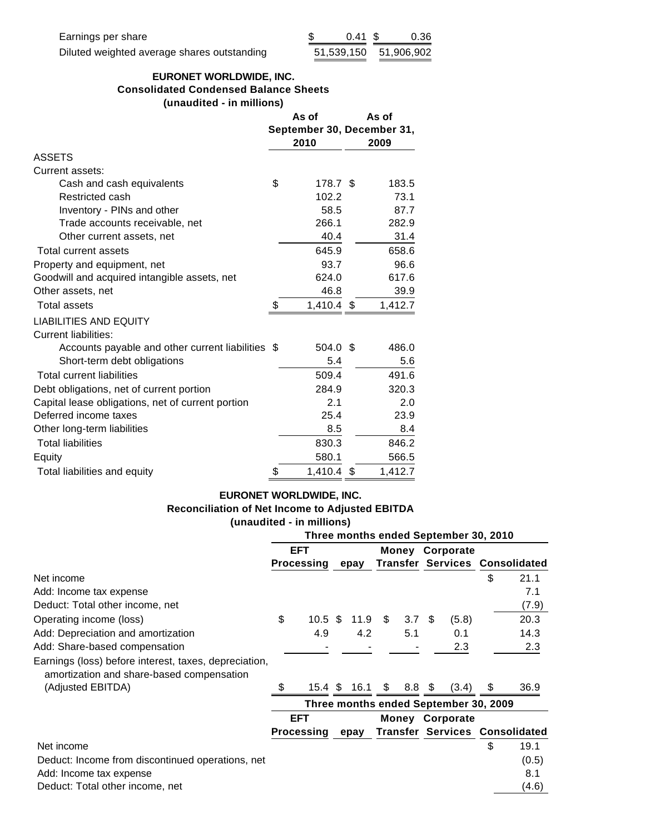# **EURONET WORLDWIDE, INC. Consolidated Condensed Balance Sheets (unaudited - in millions)**

|                                                   |    | As of                              | As of |         |  |
|---------------------------------------------------|----|------------------------------------|-------|---------|--|
|                                                   |    | September 30, December 31,<br>2010 |       | 2009    |  |
| <b>ASSETS</b>                                     |    |                                    |       |         |  |
| Current assets:                                   |    |                                    |       |         |  |
| Cash and cash equivalents                         | \$ | 178.7 \$                           |       | 183.5   |  |
| Restricted cash                                   |    | 102.2                              |       | 73.1    |  |
| Inventory - PINs and other                        |    | 58.5                               |       | 87.7    |  |
| Trade accounts receivable, net                    |    | 266.1                              |       | 282.9   |  |
| Other current assets, net                         |    | 40.4                               |       | 31.4    |  |
| Total current assets                              |    | 645.9                              |       | 658.6   |  |
| Property and equipment, net                       |    | 93.7                               |       | 96.6    |  |
| Goodwill and acquired intangible assets, net      |    | 624.0                              |       | 617.6   |  |
| Other assets, net                                 |    | 46.8                               |       | 39.9    |  |
| <b>Total assets</b>                               | S  | 1,410.4 \$                         |       | 1,412.7 |  |
| <b>LIABILITIES AND EQUITY</b>                     |    |                                    |       |         |  |
| <b>Current liabilities:</b>                       |    |                                    |       |         |  |
| Accounts payable and other current liabilities \$ |    | 504.0 \$                           |       | 486.0   |  |
| Short-term debt obligations                       |    | 5.4                                |       | 5.6     |  |
| <b>Total current liabilities</b>                  |    | 509.4                              |       | 491.6   |  |
| Debt obligations, net of current portion          |    | 284.9                              |       | 320.3   |  |
| Capital lease obligations, net of current portion |    | 2.1                                |       | 2.0     |  |
| Deferred income taxes                             |    | 25.4                               |       | 23.9    |  |
| Other long-term liabilities                       |    | 8.5                                |       | 8.4     |  |
| <b>Total liabilities</b>                          |    | 830.3                              |       | 846.2   |  |
| Equity                                            |    | 580.1                              |       | 566.5   |  |
| Total liabilities and equity                      | \$ | 1,410.4                            | \$    | 1,412.7 |  |

# **EURONET WORLDWIDE, INC. Reconciliation of Net Income to Adjusted EBITDA (unaudited - in millions)**

|                                                                                                    | Three months ended September 30, 2010 |                    |      |                        |                        |            |                                       |       |    |                                       |
|----------------------------------------------------------------------------------------------------|---------------------------------------|--------------------|------|------------------------|------------------------|------------|---------------------------------------|-------|----|---------------------------------------|
|                                                                                                    | <b>EFT</b>                            |                    |      | <b>Money Corporate</b> |                        |            |                                       |       |    |                                       |
|                                                                                                    | <b>Processing</b>                     |                    | epay |                        |                        |            | <b>Transfer Services Consolidated</b> |       |    |                                       |
| Net income                                                                                         |                                       |                    |      |                        |                        |            |                                       |       | \$ | 21.1                                  |
| Add: Income tax expense                                                                            |                                       |                    |      |                        |                        |            |                                       |       |    | 7.1                                   |
| Deduct: Total other income, net                                                                    |                                       |                    |      |                        |                        |            |                                       |       |    | (7.9)                                 |
| Operating income (loss)                                                                            | \$                                    | $10.5 \text{ }$ \$ |      | 11.9                   | \$                     | 3.7        | \$.                                   | (5.8) |    | 20.3                                  |
| Add: Depreciation and amortization                                                                 |                                       | 4.9                |      | 4.2                    |                        | 5.1        |                                       | 0.1   |    | 14.3                                  |
| Add: Share-based compensation                                                                      |                                       |                    |      |                        |                        |            |                                       | 2.3   |    | 2.3                                   |
| Earnings (loss) before interest, taxes, depreciation,<br>amortization and share-based compensation |                                       |                    |      |                        |                        |            |                                       |       |    |                                       |
| (Adjusted EBITDA)                                                                                  |                                       | 15.4 $$$           |      | 16.1 \$                |                        | $8.8\;$ \$ |                                       | (3.4) | \$ | 36.9                                  |
|                                                                                                    | Three months ended September 30, 2009 |                    |      |                        |                        |            |                                       |       |    |                                       |
|                                                                                                    | <b>EFT</b>                            |                    |      |                        | <b>Money Corporate</b> |            |                                       |       |    |                                       |
|                                                                                                    |                                       | <b>Processing</b>  |      | epay                   |                        |            |                                       |       |    | <b>Transfer Services Consolidated</b> |
| Net income                                                                                         |                                       |                    |      |                        |                        |            |                                       |       | \$ | 19.1                                  |
| Deduct: Income from discontinued operations, net                                                   |                                       |                    |      |                        |                        |            |                                       |       |    | (0.5)                                 |
| Add: Income tax expense                                                                            |                                       |                    |      |                        |                        |            |                                       |       |    | 8.1                                   |
| Deduct: Total other income, net                                                                    |                                       |                    |      |                        |                        |            |                                       |       |    | (4.6)                                 |